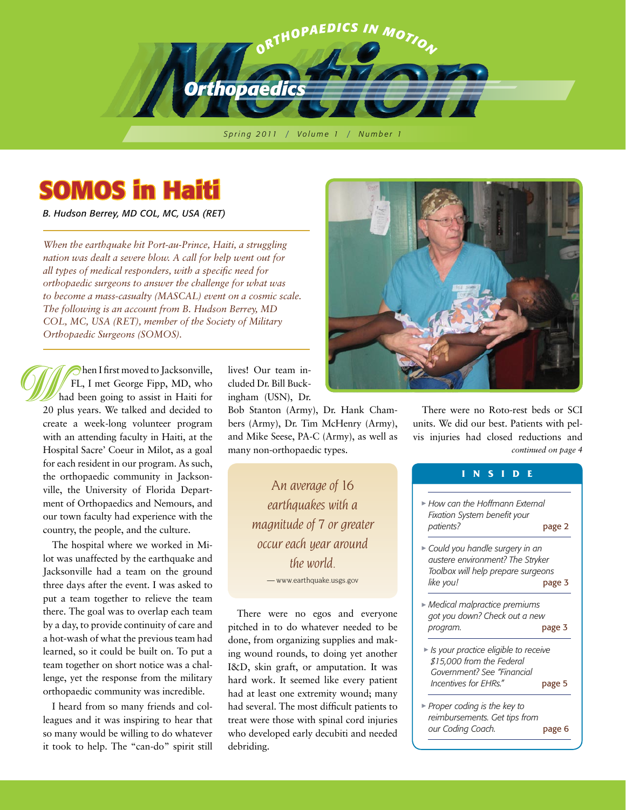

*S p r i n g 2 011* / *V o l u m e 1* / *N u m b e r 1*

# **SOMOS in Haiti**

*B. Hudson Berrey, MD COL, MC, USA (RET)*

*When the earthquake hit Port-au-Prince, Haiti, a struggling nation was dealt a severe blow. A call for help went out for all types of medical responders, with a specific need for orthopaedic surgeons to answer the challenge for what was to become a mass-casualty (MASCAL) event on a cosmic scale. The following is an account from B. Hudson Berrey, MD COL, MC, USA (RET), member of the Society of Military Orthopaedic Surgeons (SOMOS).*

 hen I first moved to Jacksonville, FL, I met George Fipp, MD, who had been going to assist in Haiti for 20 plus years. We talked and decided to create a week-long volunteer program with an attending faculty in Haiti, at the Hospital Sacre' Coeur in Milot, as a goal for each resident in our program. As such, the orthopaedic community in Jacksonville, the University of Florida Department of Orthopaedics and Nemours, and our town faculty had experience with the country, the people, and the culture. W h<br>20 p<br>creat<br>with<br>Hoc

> The hospital where we worked in Milot was unaffected by the earthquake and Jacksonville had a team on the ground three days after the event. I was asked to put a team together to relieve the team there. The goal was to overlap each team by a day, to provide continuity of care and a hot-wash of what the previous team had learned, so it could be built on. To put a team together on short notice was a challenge, yet the response from the military orthopaedic community was incredible.

> I heard from so many friends and colleagues and it was inspiring to hear that so many would be willing to do whatever it took to help. The "can-do" spirit still

lives! Our team included Dr. Bill Buckingham (USN), Dr.

Bob Stanton (Army), Dr. Hank Chambers (Army), Dr. Tim McHenry (Army), and Mike Seese, PA-C (Army), as well as many non-orthopaedic types.

> *An average of 16 earthquakes with a magnitude of 7 or greater occur each year around the world.* — www.earthquake.usgs.gov

There were no egos and everyone pitched in to do whatever needed to be done, from organizing supplies and making wound rounds, to doing yet another I&D, skin graft, or amputation. It was hard work. It seemed like every patient had at least one extremity wound; many had several. The most difficult patients to treat were those with spinal cord injuries who developed early decubiti and needed debriding.



There were no Roto-rest beds or SCI units. We did our best. Patients with pelvis injuries had closed reductions and *continued on page 4*

### **I N S I D E**

| $\blacktriangleright$ How can the Hoffmann External<br>Fixation System benefit your<br>patients?                               | page 2 |
|--------------------------------------------------------------------------------------------------------------------------------|--------|
| $\blacktriangleright$ Could you handle surgery in an<br>austere environment? The Stryker<br>Toolbox will help prepare surgeons |        |
| like you!                                                                                                                      | page 3 |
| $\blacktriangleright$ Medical malpractice premiums<br>got you down? Check out a new<br>program.                                | page 3 |
| $\blacktriangleright$ Is your practice eligible to receive<br>\$15,000 from the Federal<br>Government? See "Financial          |        |
| Incentives for EHRs."                                                                                                          | page 5 |
| ► Proper coding is the key to<br>reimbursements. Get tips from<br>our Coding Coach.                                            | page 6 |
|                                                                                                                                |        |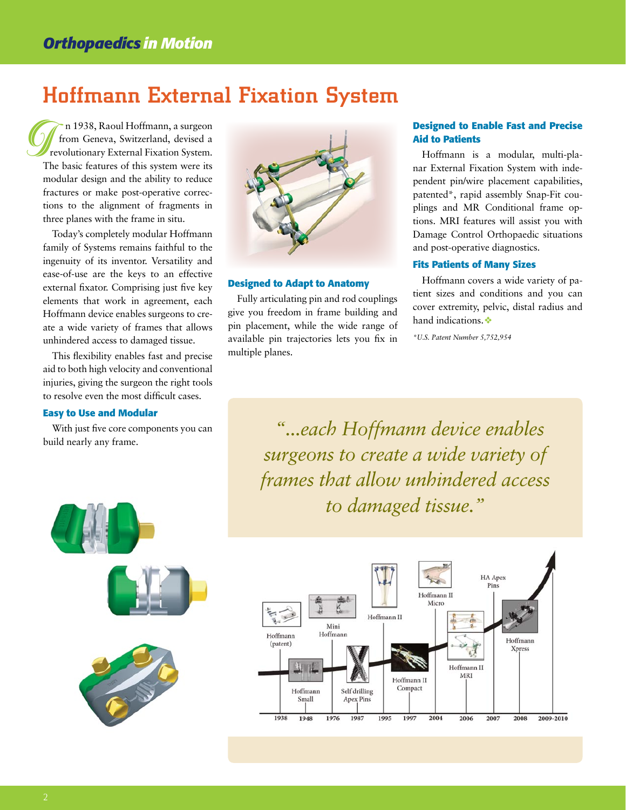# Hoffmann External Fixation System

 n 1938, Raoul Hoffmann, a surgeon from Geneva, Switzerland, devised a revolutionary External Fixation System. The basic features of this system were its modular design and the ability to reduce fractures or make post-operative corrections to the alignment of fragments in three planes with the frame in situ. I<br>
Ih<br>
mo<br>
fra

Today's completely modular Hoffmann family of Systems remains faithful to the ingenuity of its inventor. Versatility and ease-of-use are the keys to an effective external fixator. Comprising just five key elements that work in agreement, each Hoffmann device enables surgeons to create a wide variety of frames that allows unhindered access to damaged tissue.

This flexibility enables fast and precise aid to both high velocity and conventional injuries, giving the surgeon the right tools to resolve even the most difficult cases.

#### **Easy to Use and Modular**

With just five core components you can build nearly any frame.



#### **Designed to Adapt to Anatomy**

Fully articulating pin and rod couplings give you freedom in frame building and pin placement, while the wide range of available pin trajectories lets you fix in multiple planes.

#### **Designed to Enable Fast and Precise Aid to Patients**

Hoffmann is a modular, multi-planar External Fixation System with independent pin/wire placement capabilities, patented\*, rapid assembly Snap-Fit couplings and MR Conditional frame options. MRI features will assist you with Damage Control Orthopaedic situations and post-operative diagnostics.

#### **Fits Patients of Many Sizes**

Hoffmann covers a wide variety of patient sizes and conditions and you can cover extremity, pelvic, distal radius and hand indications.

*\*U.S. Patent Number 5,752,954*

*"...each Hoffmann device enables surgeons to create a wide variety of frames that allow unhindered access to damaged tissue."*



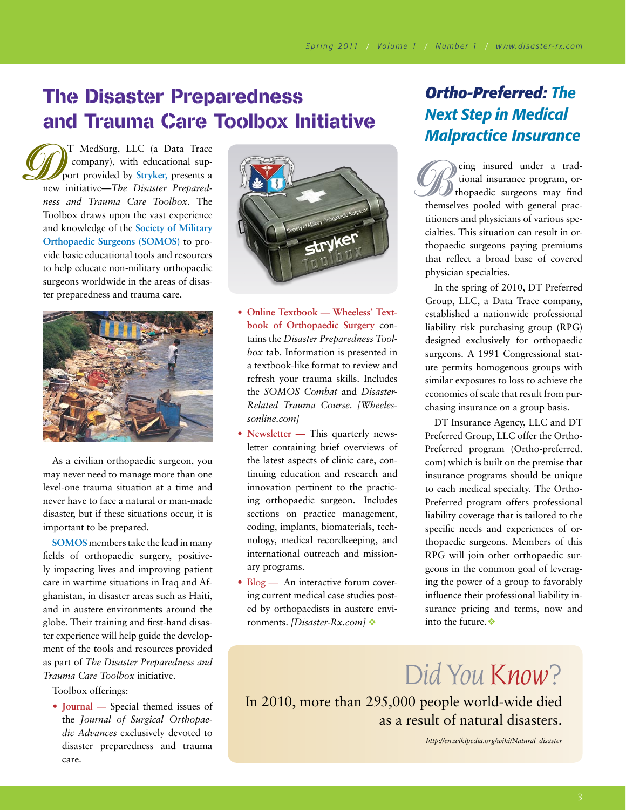# The Disaster Preparedness and Trauma Care Toolbox Initiative

T MedSurg, LLC (a Data Trace company), with educational support provided by **Stryker,** presents a new initiative—*The Disaster Preparedness and Trauma Care Toolbox.* The Toolbox draws upon the vast experience and knowledge of the **Society of Military Orthopaedic Surgeons (SOMOS)** to provide basic educational tools and resources to help educate non-military orthopaedic surgeons worldwide in the areas of disaster preparedness and trauma care. p<br>
new i



As a civilian orthopaedic surgeon, you may never need to manage more than one level-one trauma situation at a time and never have to face a natural or man-made disaster, but if these situations occur, it is important to be prepared.

**SOMOS** members take the lead in many fields of orthopaedic surgery, positively impacting lives and improving patient care in wartime situations in Iraq and Afghanistan, in disaster areas such as Haiti, and in austere environments around the globe. Their training and first-hand disaster experience will help guide the development of the tools and resources provided as part of *The Disaster Preparedness and Trauma Care Toolbox* initiative.

#### Toolbox offerings:

**• Journal —** Special themed issues of the *Journal of Surgical Orthopaedic Advances* exclusively devoted to disaster preparedness and trauma care.



- **• Online Textbook — Wheeless' Textbook of Orthopaedic Surgery** contains the *Disaster Preparedness Toolbox* tab. Information is presented in a textbook-like format to review and refresh your trauma skills. Includes the *SOMOS Combat* and *Disaster-Related Trauma Course. [Wheelessonline.com]*
- **• Newsletter —** This quarterly newsletter containing brief overviews of the latest aspects of clinic care, continuing education and research and innovation pertinent to the practicing orthopaedic surgeon. Includes sections on practice management, coding, implants, biomaterials, technology, medical recordkeeping, and international outreach and missionary programs.
- Blog An interactive forum covering current medical case studies posted by orthopaedists in austere environments. *[Disaster-Rx.com]* Ú

## *Ortho-Preferred: The Next Step in Medical Malpractice Insurance*

themsel<br>titioner<br>cialties. eing insured under a trad tional insurance program, or thopaedic surgeons may find themselves pooled with general practitioners and physicians of various specialties. This situation can result in orthopaedic surgeons paying premiums that reflect a broad base of covered physician specialties.

In the spring of 2010, DT Preferred Group, LLC, a Data Trace company, established a nationwide professional liability risk purchasing group (RPG) designed exclusively for orthopaedic surgeons. A 1991 Congressional statute permits homogenous groups with similar exposures to loss to achieve the economies of scale that result from purchasing insurance on a group basis.

DT Insurance Agency, LLC and DT Preferred Group, LLC offer the Ortho-Preferred program (Ortho-preferred. com) which is built on the premise that insurance programs should be unique to each medical specialty. The Ortho-Preferred program offers professional liability coverage that is tailored to the specific needs and experiences of orthopaedic surgeons. Members of this RPG will join other orthopaedic surgeons in the common goal of leveraging the power of a group to favorably influence their professional liability insurance pricing and terms, now and into the future. $\clubsuit$ 

*Did You Know?*

In 2010, more than 295,000 people world-wide died as a result of natural disasters.

*http://en.wikipedia.org/wiki/Natural\_disaster*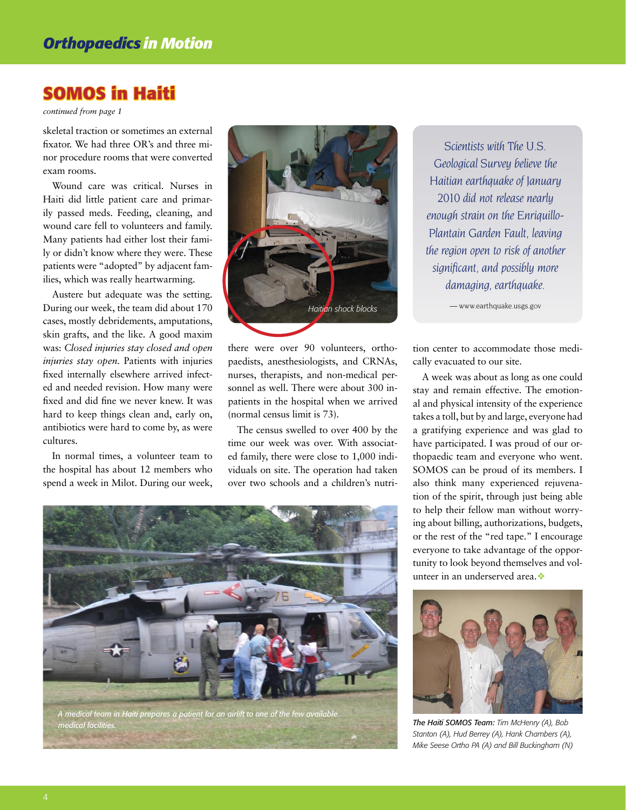## **SOMOS in Haiti**

*continued from page 1*

skeletal traction or sometimes an external fixator. We had three OR's and three minor procedure rooms that were converted exam rooms.

Wound care was critical. Nurses in Haiti did little patient care and primarily passed meds. Feeding, cleaning, and wound care fell to volunteers and family. Many patients had either lost their family or didn't know where they were. These patients were "adopted" by adjacent families, which was really heartwarming.

Austere but adequate was the setting. During our week, the team did about 170 cases, mostly debridements, amputations, skin grafts, and the like. A good maxim was: *Closed injuries stay closed and open injuries stay open.* Patients with injuries fixed internally elsewhere arrived infected and needed revision. How many were fixed and did fine we never knew. It was hard to keep things clean and, early on, antibiotics were hard to come by, as were cultures.

In normal times, a volunteer team to the hospital has about 12 members who spend a week in Milot. During our week,



there were over 90 volunteers, orthopaedists, anesthesiologists, and CRNAs, nurses, therapists, and non-medical personnel as well. There were about 300 inpatients in the hospital when we arrived (normal census limit is 73).

The census swelled to over 400 by the time our week was over. With associated family, there were close to 1,000 individuals on site. The operation had taken over two schools and a children's nutri-

*Scientists with The U.S. Geological Survey believe the Haitian earthquake of January 2010 did not release nearly enough strain on the Enriquillo-Plantain Garden Fault, leaving the region open to risk of another significant, and possibly more damaging, earthquake.*

— www.earthquake.usgs.gov

tion center to accommodate those medically evacuated to our site.

A week was about as long as one could stay and remain effective. The emotional and physical intensity of the experience takes a toll, but by and large, everyone had a gratifying experience and was glad to have participated. I was proud of our orthopaedic team and everyone who went. SOMOS can be proud of its members. I also think many experienced rejuvenation of the spirit, through just being able to help their fellow man without worrying about billing, authorizations, budgets, or the rest of the "red tape." I encourage everyone to take advantage of the opportunity to look beyond themselves and volunteer in an underserved area.



*The Haiti SOMOS Team: Tim McHenry (A), Bob Stanton (A), Hud Berrey (A), Hank Chambers (A), Mike Seese Ortho PA (A) and Bill Buckingham (N)*

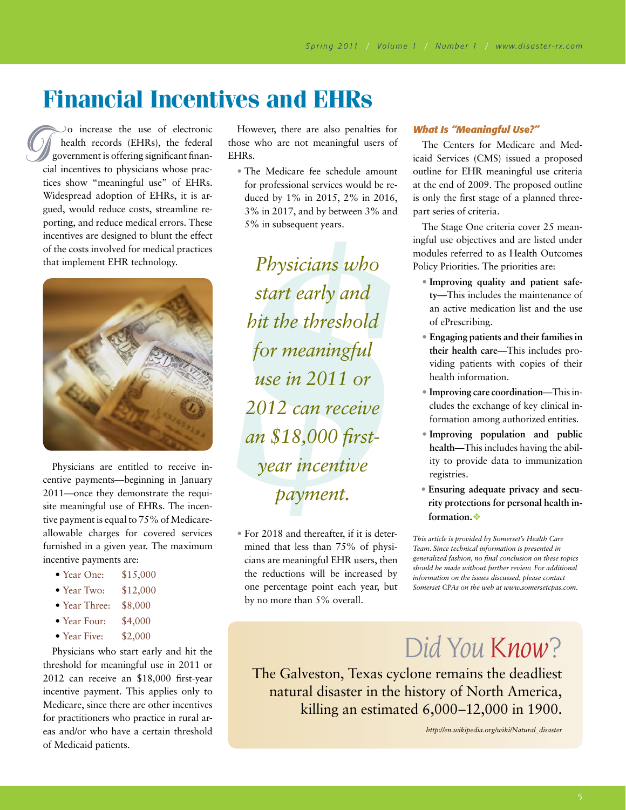# **Financial Incentives and EHRs**

 $\infty$  increase the use of electronic health records (EHRs), the federal government is offering significant financial incentives to physicians whose practices show "meaningful use" of EHRs. Widespread adoption of EHRs, it is argued, would reduce costs, streamline reporting, and reduce medical errors. These incentives are designed to blunt the effect of the costs involved for medical practices that implement EHR technology. Cia<br>
tic<br>
W



Physicians are entitled to receive incentive payments—beginning in January 2011—once they demonstrate the requisite meaningful use of EHRs. The incentive payment is equal to 75% of Medicareallowable charges for covered services furnished in a given year. The maximum incentive payments are:

- Year One: \$15,000
- Year Two: \$12,000
- Year Three: \$8,000
- Year Four: \$4,000
- Year Five: \$2,000

Physicians who start early and hit the threshold for meaningful use in 2011 or 2012 can receive an \$18,000 first-year incentive payment. This applies only to Medicare, since there are other incentives for practitioners who practice in rural areas and/or who have a certain threshold of Medicaid patients.

However, there are also penalties for those who are not meaningful users of EHRs.

• The Medicare fee schedule amount for professional services would be reduced by 1% in 2015, 2% in 2016, 3% in 2017, and by between 3% and 5% in subsequent years.

*Physicians who start early and hit the threshold for meaningful use in 2011 or 2012 can receive an \$18,000 firstyear incentive payment.*

• For 2018 and thereafter, if it is determined that less than 75% of physicians are meaningful EHR users, then the reductions will be increased by one percentage point each year, but by no more than 5% overall.

#### *What Is "Meaningful Use?"*

The Centers for Medicare and Medicaid Services (CMS) issued a proposed outline for EHR meaningful use criteria at the end of 2009. The proposed outline is only the first stage of a planned threepart series of criteria.

The Stage One criteria cover 25 meaningful use objectives and are listed under modules referred to as Health Outcomes Policy Priorities. The priorities are:

- **Improving quality and patient safety**—This includes the maintenance of an active medication list and the use of ePrescribing.
- **Engaging patients and their families in their health care**—This includes providing patients with copies of their health information.
- **Improving care coordination**—This includes the exchange of key clinical information among authorized entities.
- **Improving population and public health**—This includes having the ability to provide data to immunization registries.
- **Ensuring adequate privacy and security protections for personal health in**formation.

*This article is provided by Somerset's Health Care Team. Since technical information is presented in generalized fashion, no final conclusion on these topics should be made without further review. For additional information on the issues discussed, please contact Somerset CPAs on the web at www.somersetcpas.com.* 

# *Did You Know?*

The Galveston, Texas cyclone remains the deadliest natural disaster in the history of North America, killing an estimated 6,000–12,000 in 1900.

*http://en.wikipedia.org/wiki/Natural\_disaster*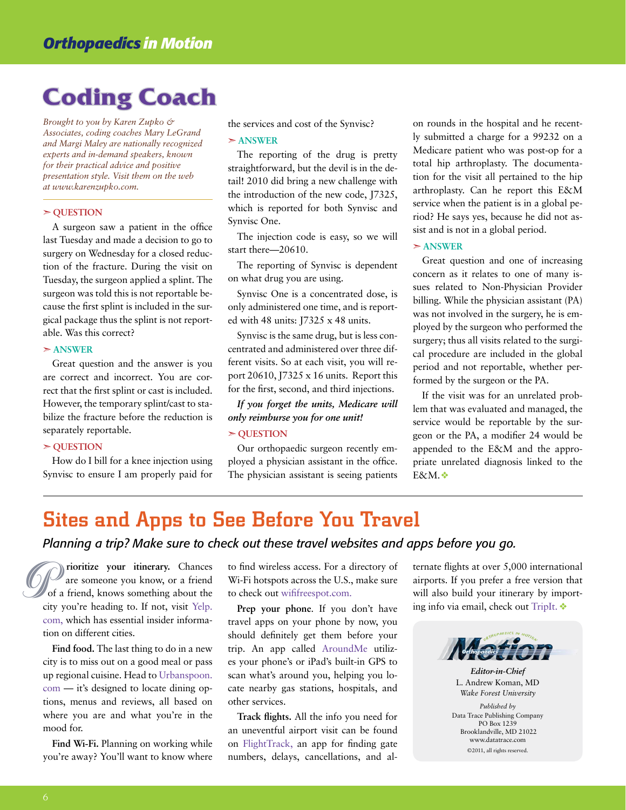# **Coding Coach**

*Brought to you by Karen Zupko & Associates, coding coaches Mary LeGrand and Margi Maley are nationally recognized experts and in-demand speakers, known for their practical advice and positive presentation style. Visit them on the web at www.karenzupko.com.*

#### $>$  **OUESTION**

A surgeon saw a patient in the office last Tuesday and made a decision to go to surgery on Wednesday for a closed reduction of the fracture. During the visit on Tuesday, the surgeon applied a splint. The surgeon was told this is not reportable because the first splint is included in the surgical package thus the splint is not reportable. Was this correct?

#### $> ANSWER$

Great question and the answer is you are correct and incorrect. You are correct that the first splint or cast is included. However, the temporary splint/cast to stabilize the fracture before the reduction is separately reportable.

#### $>$  **OUESTION**

How do I bill for a knee injection using Synvisc to ensure I am properly paid for the services and cost of the Synvisc?

#### $> ANSWER$

The reporting of the drug is pretty straightforward, but the devil is in the detail! 2010 did bring a new challenge with the introduction of the new code, J7325, which is reported for both Synvisc and Synvisc One.

The injection code is easy, so we will start there—20610.

The reporting of Synvisc is dependent on what drug you are using.

Synvisc One is a concentrated dose, is only administered one time, and is reported with 48 units: J7325 x 48 units.

Synvisc is the same drug, but is less concentrated and administered over three different visits. So at each visit, you will report 20610, J7325 x 16 units. Report this for the first, second, and third injections.

*If you forget the units, Medicare will only reimburse you for one unit!* ß **Question**

Our orthopaedic surgeon recently employed a physician assistant in the office. The physician assistant is seeing patients on rounds in the hospital and he recently submitted a charge for a 99232 on a Medicare patient who was post-op for a total hip arthroplasty. The documentation for the visit all pertained to the hip arthroplasty. Can he report this E&M service when the patient is in a global period? He says yes, because he did not assist and is not in a global period.

#### $> ANSWER$

Great question and one of increasing concern as it relates to one of many issues related to Non-Physician Provider billing. While the physician assistant (PA) was not involved in the surgery, he is employed by the surgeon who performed the surgery; thus all visits related to the surgical procedure are included in the global period and not reportable, whether performed by the surgeon or the PA.

If the visit was for an unrelated problem that was evaluated and managed, the service would be reportable by the surgeon or the PA, a modifier 24 would be appended to the E&M and the appropriate unrelated diagnosis linked to the E&M. $\bullet$ 

# Sites and Apps to See Before You Travel

### *Planning a trip? Make sure to check out these travel websites and apps before you go.*

 **rioritize your itinerary.** Chances are someone you know, or a friend of a friend, knows something about the city you're heading to. If not, visit Yelp. com, which has essential insider information on different cities. The same of a friend wireless access. For a directory of are someone you know, or a friend Wi-Fi hotspots across the U.S., make sure of a friend, knows something about the to check out wififreespot.com.<br>
city you're headin

**Find food.** The last thing to do in a new city is to miss out on a good meal or pass up regional cuisine. Head to Urbanspoon. com — it's designed to locate dining options, menus and reviews, all based on where you are and what you're in the mood for.

**Find Wi-Fi.** Planning on working while you're away? You'll want to know where Wi-Fi hotspots across the U.S., make sure to check out wififreespot.com.

**Prep your phone**. If you don't have travel apps on your phone by now, you should definitely get them before your trip. An app called AroundMe utilizes your phone's or iPad's built-in GPS to scan what's around you, helping you locate nearby gas stations, hospitals, and other services.

**Track flights.** All the info you need for an uneventful airport visit can be found on FlightTrack, an app for finding gate numbers, delays, cancellations, and alternate flights at over 5,000 international airports. If you prefer a free version that will also build your itinerary by importing info via email, check out TripIt.  $\triangleleft$ 



*Editor-in-Chief* L. Andrew Koman, MD *Wake Forest University Published by*  Data Trace Publishing Company PO Box 1239 Brooklandville, MD 21022 www.datatrace.com ©2011, all rights reserved.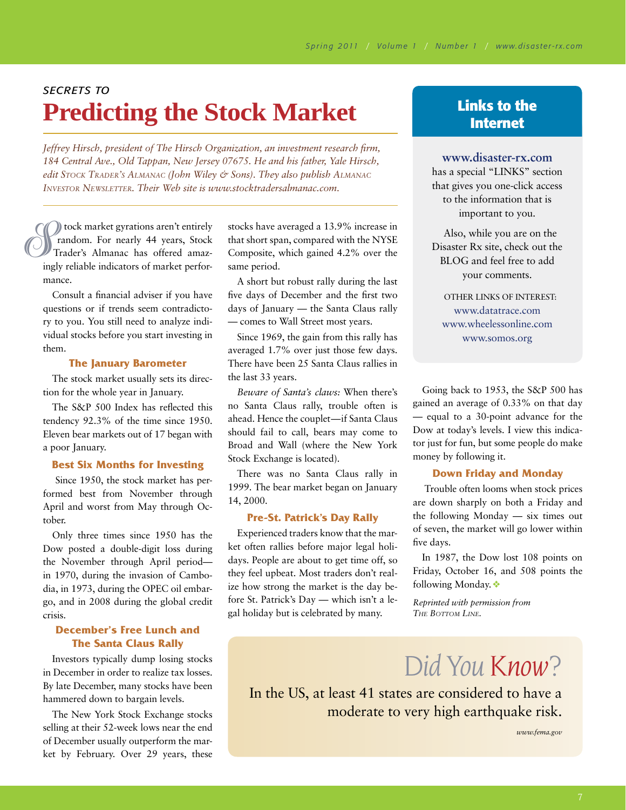# **Predicting the Stock Market Links to the** <br>Internet *Secrets to*

*Jeffrey Hirsch, president of The Hirsch Organization, an investment research firm, 184 Central Ave., Old Tappan, New Jersey 07675. He and his father, Yale Hirsch, edit Stock Trader's Almanac (John Wiley & Sons). They also publish Almanac Investor Newsletter. Their Web site is www.stocktradersalmanac.com.* 

 tock market gyrations aren't entirely random. For nearly 44 years, Stock Trader's Almanac has offered amazingly reliable indicators of market performance. Strategy<br>Strategy<br>Strategy<br>Strategy<br>Strategy<br>Strategy<br>Strategy<br>Strategy<br>Strategy<br>Strategy<br>Strategy<br>Strategy<br>Strategy<br>Strategy<br>Strategy<br>Strategy<br>Strategy<br>Strategy<br>Strategy<br>Strategy<br>Strategy<br>Strategy<br>Strategy<br>Strategy<br>Strate

Consult a financial adviser if you have questions or if trends seem contradictory to you. You still need to analyze individual stocks before you start investing in them.

#### **The January Barometer**

The stock market usually sets its direction for the whole year in January.

The S&P 500 Index has reflected this tendency 92.3% of the time since 1950. Eleven bear markets out of 17 began with a poor January.

#### **Best Six Months for Investing**

 Since 1950, the stock market has performed best from November through April and worst from May through October.

Only three times since 1950 has the Dow posted a double-digit loss during the November through April period in 1970, during the invasion of Cambodia, in 1973, during the OPEC oil embargo, and in 2008 during the global credit crisis.

### **December's Free Lunch and The Santa Claus Rally**

Investors typically dump losing stocks in December in order to realize tax losses. By late December, many stocks have been hammered down to bargain levels.

The New York Stock Exchange stocks selling at their 52-week lows near the end of December usually outperform the market by February. Over 29 years, these

stocks have averaged a 13.9% increase in that short span, compared with the NYSE Composite, which gained 4.2% over the same period.

A short but robust rally during the last five days of December and the first two days of January — the Santa Claus rally — comes to Wall Street most years.

Since 1969, the gain from this rally has averaged 1.7% over just those few days. There have been 25 Santa Claus rallies in the last 33 years.

*Beware of Santa's claws:* When there's no Santa Claus rally, trouble often is ahead. Hence the couplet—if Santa Claus should fail to call, bears may come to Broad and Wall (where the New York Stock Exchange is located).

There was no Santa Claus rally in 1999. The bear market began on January 14, 2000.

#### **Pre-St. Patrick's Day Rally**

Experienced traders know that the market often rallies before major legal holidays. People are about to get time off, so they feel upbeat. Most traders don't realize how strong the market is the day before St. Patrick's Day — which isn't a legal holiday but is celebrated by many.

#### **www.disaster-rx.com**

has a special "LINKS" section that gives you one-click access to the information that is important to you.

Also, while you are on the Disaster Rx site, check out the BLOG and feel free to add your comments.

Other links of interest: www.datatrace.com www.wheelessonline.com www.somos.org

Going back to 1953, the S&P 500 has gained an average of 0.33% on that day — equal to a 30-point advance for the Dow at today's levels. I view this indicator just for fun, but some people do make money by following it.

#### **Down Friday and Monday**

 Trouble often looms when stock prices are down sharply on both a Friday and the following Monday — six times out of seven, the market will go lower within five days.

In 1987, the Dow lost 108 points on Friday, October 16, and 508 points the following Monday.

*Reprinted with permission from The Bottom Line.*

*Did You Know?*

In the US, at least 41 states are considered to have a moderate to very high earthquake risk.